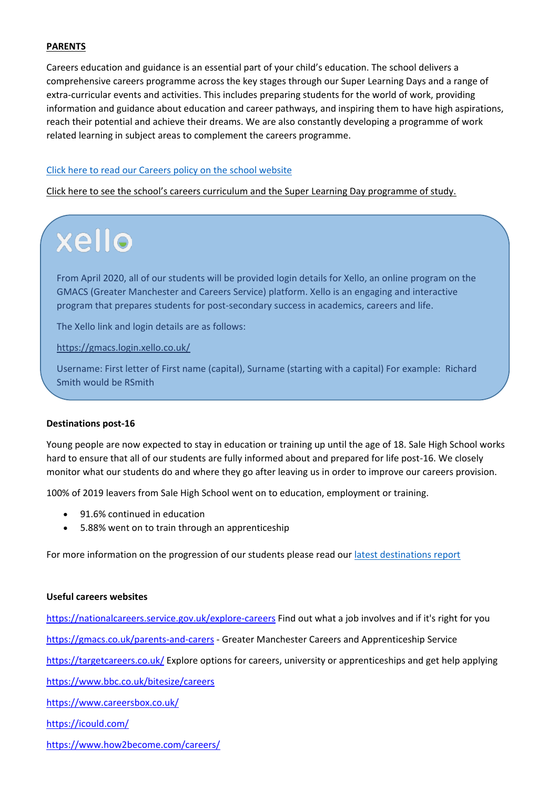#### **PARENTS**

Careers education and guidance is an essential part of your child's education. The school delivers a comprehensive careers programme across the key stages through our Super Learning Days and a range of extra-curricular events and activities. This includes preparing students for the world of work, providing information and guidance about education and career pathways, and inspiring them to have high aspirations, reach their potential and achieve their dreams. We are also constantly developing a programme of work related learning in subject areas to complement the careers programme.

### [Click here to read our Careers policy o](https://salehighschool.org.uk/images/careers_policy_Nov18.pdf)n the school website

Click here to see the school's careers curriculum and the Super Learning Day programme of study.

# xello

From April 2020, all of our students will be provided login details for Xello, an online program on the GMACS (Greater Manchester and Careers Service) platform. Xello is an engaging and interactive program that prepares students for post-secondary success in academics, careers and life.

The Xello link and login details are as follows:

<https://gmacs.login.xello.co.uk/>

Username: First letter of First name (capital), Surname (starting with a capital) For example: Richard Smith would be RSmith

#### **Destinations post-16**

Young people are now expected to stay in education or training up until the age of 18. Sale High School works hard to ensure that all of our students are fully informed about and prepared for life post-16. We closely monitor what our students do and where they go after leaving us in order to improve our careers provision.

100% of 2019 leavers from Sale High School went on to education, employment or training.

- 91.6% continued in education
- 5.88% went on to train through an apprenticeship

For more information on the progression of our students please read our [latest destinations report](https://salehighschool.org.uk/images/destinations_survey2017.pdf)

#### **Useful careers websites**

<https://nationalcareers.service.gov.uk/explore-careers>Find out what a job involves and if it's right for you <https://gmacs.co.uk/parents-and-carers>- Greater Manchester Careers and Apprenticeship Service [https://targetcareers.co.uk/ E](https://targetcareers.co.uk/)xplore options for careers, university or apprenticeships and get help applying <https://www.bbc.co.uk/bitesize/careers> <https://www.careersbox.co.uk/> <https://icould.com/> <https://www.how2become.com/careers/>